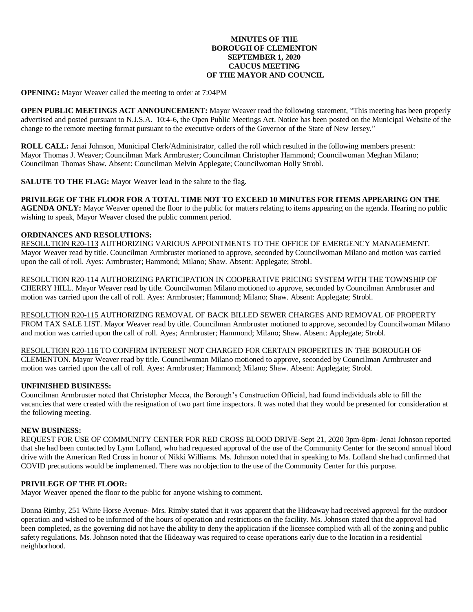# **MINUTES OF THE BOROUGH OF CLEMENTON SEPTEMBER 1, 2020 CAUCUS MEETING OF THE MAYOR AND COUNCIL**

**OPENING:** Mayor Weaver called the meeting to order at 7:04PM

**OPEN PUBLIC MEETINGS ACT ANNOUNCEMENT:** Mayor Weaver read the following statement, "This meeting has been properly advertised and posted pursuant to N.J.S.A. 10:4-6, the Open Public Meetings Act. Notice has been posted on the Municipal Website of the change to the remote meeting format pursuant to the executive orders of the Governor of the State of New Jersey."

**ROLL CALL:** Jenai Johnson, Municipal Clerk/Administrator, called the roll which resulted in the following members present: Mayor Thomas J. Weaver; Councilman Mark Armbruster; Councilman Christopher Hammond; Councilwoman Meghan Milano; Councilman Thomas Shaw. Absent: Councilman Melvin Applegate; Councilwoman Holly Strobl.

**SALUTE TO THE FLAG:** Mayor Weaver lead in the salute to the flag.

**PRIVILEGE OF THE FLOOR FOR A TOTAL TIME NOT TO EXCEED 10 MINUTES FOR ITEMS APPEARING ON THE AGENDA ONLY:** Mayor Weaver opened the floor to the public for matters relating to items appearing on the agenda. Hearing no public wishing to speak, Mayor Weaver closed the public comment period.

#### **ORDINANCES AND RESOLUTIONS:**

RESOLUTION R20-113 AUTHORIZING VARIOUS APPOINTMENTS TO THE OFFICE OF EMERGENCY MANAGEMENT. Mayor Weaver read by title. Councilman Armbruster motioned to approve, seconded by Councilwoman Milano and motion was carried upon the call of roll. Ayes: Armbruster; Hammond; Milano; Shaw. Absent: Applegate; Strobl.

RESOLUTION R20-114 AUTHORIZING PARTICIPATION IN COOPERATIVE PRICING SYSTEM WITH THE TOWNSHIP OF CHERRY HILL. Mayor Weaver read by title. Councilwoman Milano motioned to approve, seconded by Councilman Armbruster and motion was carried upon the call of roll. Ayes: Armbruster; Hammond; Milano; Shaw. Absent: Applegate; Strobl.

RESOLUTION R20-115 AUTHORIZING REMOVAL OF BACK BILLED SEWER CHARGES AND REMOVAL OF PROPERTY FROM TAX SALE LIST. Mayor Weaver read by title. Councilman Armbruster motioned to approve, seconded by Councilwoman Milano and motion was carried upon the call of roll. Ayes; Armbruster; Hammond; Milano; Shaw. Absent: Applegate; Strobl.

RESOLUTION R20-116 TO CONFIRM INTEREST NOT CHARGED FOR CERTAIN PROPERTIES IN THE BOROUGH OF CLEMENTON. Mayor Weaver read by title. Councilwoman Milano motioned to approve, seconded by Councilman Armbruster and motion was carried upon the call of roll. Ayes: Armbruster; Hammond; Milano; Shaw. Absent: Applegate; Strobl.

# **UNFINISHED BUSINESS:**

Councilman Armbruster noted that Christopher Mecca, the Borough's Construction Official, had found individuals able to fill the vacancies that were created with the resignation of two part time inspectors. It was noted that they would be presented for consideration at the following meeting.

# **NEW BUSINESS:**

REQUEST FOR USE OF COMMUNITY CENTER FOR RED CROSS BLOOD DRIVE-Sept 21, 2020 3pm-8pm- Jenai Johnson reported that she had been contacted by Lynn Lofland, who had requested approval of the use of the Community Center for the second annual blood drive with the American Red Cross in honor of Nikki Williams. Ms. Johnson noted that in speaking to Ms. Lofland she had confirmed that COVID precautions would be implemented. There was no objection to the use of the Community Center for this purpose.

# **PRIVILEGE OF THE FLOOR:**

Mayor Weaver opened the floor to the public for anyone wishing to comment.

Donna Rimby, 251 White Horse Avenue- Mrs. Rimby stated that it was apparent that the Hideaway had received approval for the outdoor operation and wished to be informed of the hours of operation and restrictions on the facility. Ms. Johnson stated that the approval had been completed, as the governing did not have the ability to deny the application if the licensee complied with all of the zoning and public safety regulations. Ms. Johnson noted that the Hideaway was required to cease operations early due to the location in a residential neighborhood.